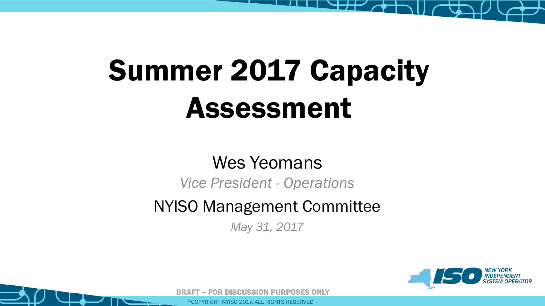



## Wes Yeomans *Vice President - Operations* NYISO Management Committee *May 31, 2017*

# Summer 2017 Capacity Assessment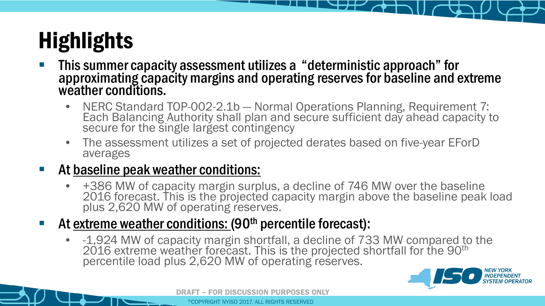## Highlights

- This summer capacity assessment utilizes a "deterministic approach" for weather conditions.
	- NERC Standard TOP-002-2.1b Normal Operations Planning, Requirement 7: Each Balancing Authority shall plan and secure sufficient day ahead capacity to secure for the single largest contingency
	- The assessment utilizes a set of projected derates based on five-year EForD averages
- At baseline peak weather conditions:
	- +386 MW of capacity margin surplus, a decline of 746 MW over the baseline 2016 forecast. This is the projected capacity margin above the baseline peak load plus 2,620 MW of operating reserves.
- At extreme weather conditions: (90<sup>th</sup> percentile forecast):
	- -1,924 MW of capacity margin shortfall, a decline of 733 MW compared to the 2016 extreme weather forecast. This is the projected shortfall for the 90<sup>th</sup> percentile load plus 2,620 MW of operating reserves.



## approximating capacity margins and operating reserves for baseline and extreme

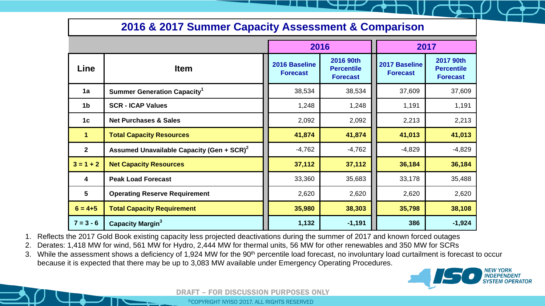

- 1. Reflects the 2017 Gold Book existing capacity less projected deactivations during the summer of 2017 and known forced outages
- 2. Derates: 1,418 MW for wind, 561 MW for Hydro, 2,444 MW for thermal units, 56 MW for other renewables and 350 MW for SCRs
- because it is expected that there may be up to 3,083 MW available under Emergency Operating Procedures.

3. While the assessment shows a deficiency of 1,924 MW for the 90<sup>th</sup> percentile load forecast, no involuntary load curtailment is forecast to occur

|                         |                                                             | 2016                             |                                                   | 2017                                    |                                                   |
|-------------------------|-------------------------------------------------------------|----------------------------------|---------------------------------------------------|-----------------------------------------|---------------------------------------------------|
| Line                    | <b>Item</b>                                                 | 2016 Baseline<br><b>Forecast</b> | 2016 90th<br><b>Percentile</b><br><b>Forecast</b> | <b>2017 Baseline</b><br><b>Forecast</b> | 2017 90th<br><b>Percentile</b><br><b>Forecast</b> |
| 1a                      | <b>Summer Generation Capacity</b>                           | 38,534                           | 38,534                                            | 37,609                                  | 37,609                                            |
| 1 <sub>b</sub>          | <b>SCR - ICAP Values</b>                                    | 1,248                            | 1,248                                             | 1,191                                   | 1,191                                             |
| 1 <sub>c</sub>          | <b>Net Purchases &amp; Sales</b>                            | 2,092                            | 2,092                                             | 2,213                                   | 2,213                                             |
|                         | <b>Total Capacity Resources</b>                             | 41,874                           | 41,874                                            | 41,013                                  | 41,013                                            |
| 2 <sup>1</sup>          | <b>Assumed Unavailable Capacity (Gen + SCR)<sup>2</sup></b> | $-4,762$                         | $-4,762$                                          | $-4,829$                                | $-4,829$                                          |
| $3 = 1 + 2$             | <b>Net Capacity Resources</b>                               | 37,112                           | 37,112                                            | 36,184                                  | 36,184                                            |
| $\overline{\mathbf{4}}$ | <b>Peak Load Forecast</b>                                   | 33,360                           | 35,683                                            | 33,178                                  | 35,488                                            |
| 5                       | <b>Operating Reserve Requirement</b>                        | 2,620                            | 2,620                                             | 2,620                                   | 2,620                                             |
| $6 = 4 + 5$             | <b>Total Capacity Requirement</b>                           | 35,980                           | 38,303                                            | 35,798                                  | 38,108                                            |
| $7 = 3 - 6$             | <b>Capacity Margin<sup>3</sup></b>                          | 1,132                            | $-1,191$                                          | 386                                     | $-1,924$                                          |

### **2016 & 2017 Summer Capacity Assessment & Comparison**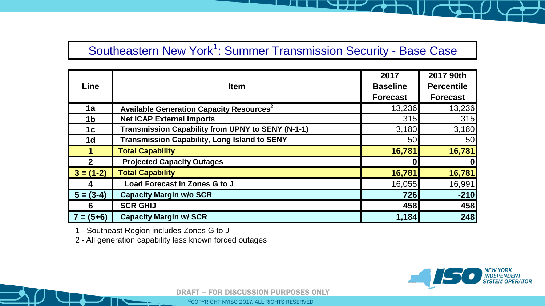DRAFT – FOR DISCUSSION PURPOSES ONLY

1 - Southeast Region includes Zones G to J

2 - All generation capability less known forced outages



### Southeastern New York<sup>1</sup>: Summer Transmission Security - Base Case

|                |                                                            | 2017            | 2017 90th         |
|----------------|------------------------------------------------------------|-----------------|-------------------|
| <b>Line</b>    | <b>Item</b>                                                | <b>Baseline</b> | <b>Percentile</b> |
|                |                                                            | <b>Forecast</b> | <b>Forecast</b>   |
| 1a             | <b>Available Generation Capacity Resources<sup>2</sup></b> | 13,236          | 13,236            |
| 1 <sub>b</sub> | <b>Net ICAP External Imports</b>                           | 315             | 315               |
| 1c             | <b>Transmission Capability from UPNY to SENY (N-1-1)</b>   | 3,180           | 3,180             |
| 1 <sub>d</sub> | <b>Transmission Capability, Long Island to SENY</b>        | 50              | 50                |
|                | <b>Total Capability</b>                                    | 16,781          | 16,781            |
| $\overline{2}$ | <b>Projected Capacity Outages</b>                          |                 | 0                 |
| $3 = (1-2)$    | <b>Total Capability</b>                                    | 16,781          | 16,781            |
|                | Load Forecast in Zones G to J                              | 16,055          | 16,991            |
| $5 = (3-4)$    | <b>Capacity Margin w/o SCR</b>                             | 726             | $-210$            |
| 6              | <b>SCR GHIJ</b>                                            | 458             | 458               |
| $7 = (5+6)$    | <b>Capacity Margin w/ SCR</b>                              | 1,184           | 248               |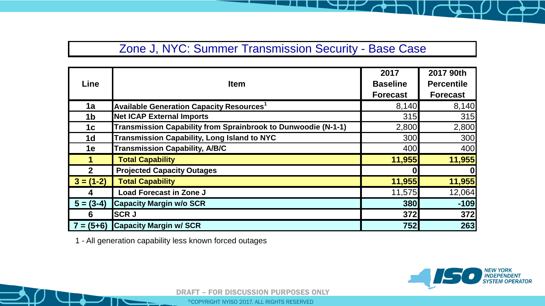DRAFT – FOR DISCUSSION PURPOSES ONLY

1 - All generation capability less known forced outages



| <b>Line</b>    | <b>Item</b>                                                          | 2017<br><b>Baseline</b><br><b>Forecast</b> | 2017 90th<br><b>Percentile</b><br><b>Forecast</b> |
|----------------|----------------------------------------------------------------------|--------------------------------------------|---------------------------------------------------|
| 1a             | <b>Available Generation Capacity Resources<sup>1</sup></b>           | 8,140                                      | 8,140                                             |
| 1 <sub>b</sub> | <b>Net ICAP External Imports</b>                                     | 315                                        | 315                                               |
| 1c             | <b>Transmission Capability from Sprainbrook to Dunwoodie (N-1-1)</b> | 2,800                                      | 2,800                                             |
| 1 <sub>d</sub> | <b>Transmission Capability, Long Island to NYC</b>                   | 300                                        | 300                                               |
| <b>1e</b>      | <b>Transmission Capability, A/B/C</b>                                | 400                                        | 400                                               |
|                | <b>Total Capability</b>                                              | 11,955                                     | 11,955                                            |
| 2 <sup>1</sup> | <b>Projected Capacity Outages</b>                                    |                                            | $\boldsymbol{0}$                                  |
| $3 = (1-2)$    | <b>Total Capability</b>                                              | 11,955                                     | 11,955                                            |
|                | <b>Load Forecast in Zone J</b>                                       | 11,575                                     | 12,064                                            |
| $5 = (3-4)$    | <b>Capacity Margin w/o SCR</b>                                       | 380                                        | $-109$                                            |
| 6              | <b>SCRJ</b>                                                          | 372                                        | 372                                               |
|                | $7 = (5+6)$ Capacity Margin w/SCR                                    | 752                                        | 263                                               |

### Zone J, NYC: Summer Transmission Security - Base Case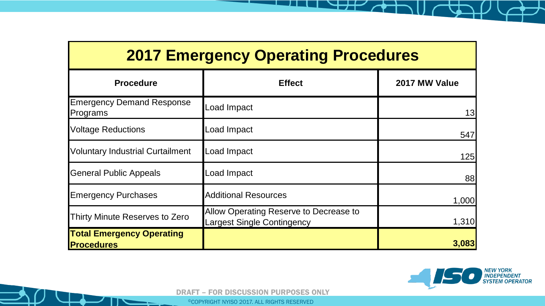



| <b>2017 Emergency Operating Procedures</b>            |                                                                             |               |  |  |  |
|-------------------------------------------------------|-----------------------------------------------------------------------------|---------------|--|--|--|
| <b>Procedure</b>                                      | <b>Effect</b>                                                               | 2017 MW Value |  |  |  |
| <b>Emergency Demand Response</b><br>Programs          | Load Impact                                                                 | 13            |  |  |  |
| <b>Voltage Reductions</b>                             | Load Impact                                                                 | 547           |  |  |  |
| <b>Voluntary Industrial Curtailment</b>               | <b>Load Impact</b>                                                          | <b>125</b>    |  |  |  |
| <b>General Public Appeals</b>                         | <b>Load Impact</b>                                                          | 88            |  |  |  |
| <b>Emergency Purchases</b>                            | <b>Additional Resources</b>                                                 | 1,000         |  |  |  |
| Thirty Minute Reserves to Zero                        | Allow Operating Reserve to Decrease to<br><b>Largest Single Contingency</b> | 1,310         |  |  |  |
| <b>Total Emergency Operating</b><br><b>Procedures</b> |                                                                             | 3,083         |  |  |  |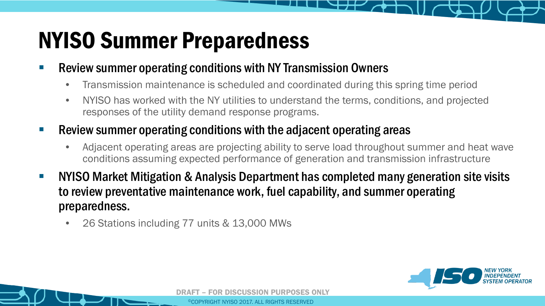







## NYISO Summer Preparedness

- **Review summer operating conditions with NY Transmission Owners** 
	- Transmission maintenance is scheduled and coordinated during this spring time period
	- NYISO has worked with the NY utilities to understand the terms, conditions, and projected responses of the utility demand response programs.
- **Review summer operating conditions with the adjacent operating areas** 
	- Adjacent operating areas are projecting ability to serve load throughout summer and heat wave conditions assuming expected performance of generation and transmission infrastructure
- NYISO Market Mitigation & Analysis Department has completed many generation site visits to review preventative maintenance work, fuel capability, and summer operating preparedness.
	- 26 Stations including 77 units & 13,000 MWs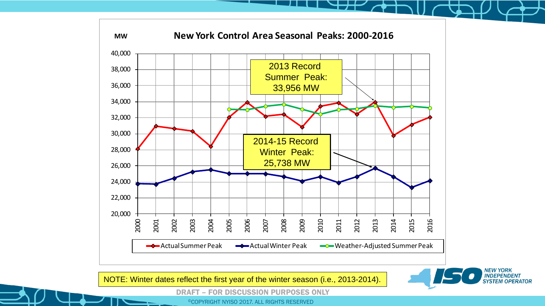





DRAFT – FOR DISCUSSION PURPOSES ONLY



NOTE: Winter dates reflect the first year of the winter season (i.e., 2013-2014).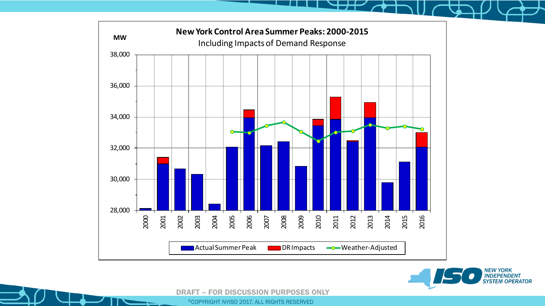